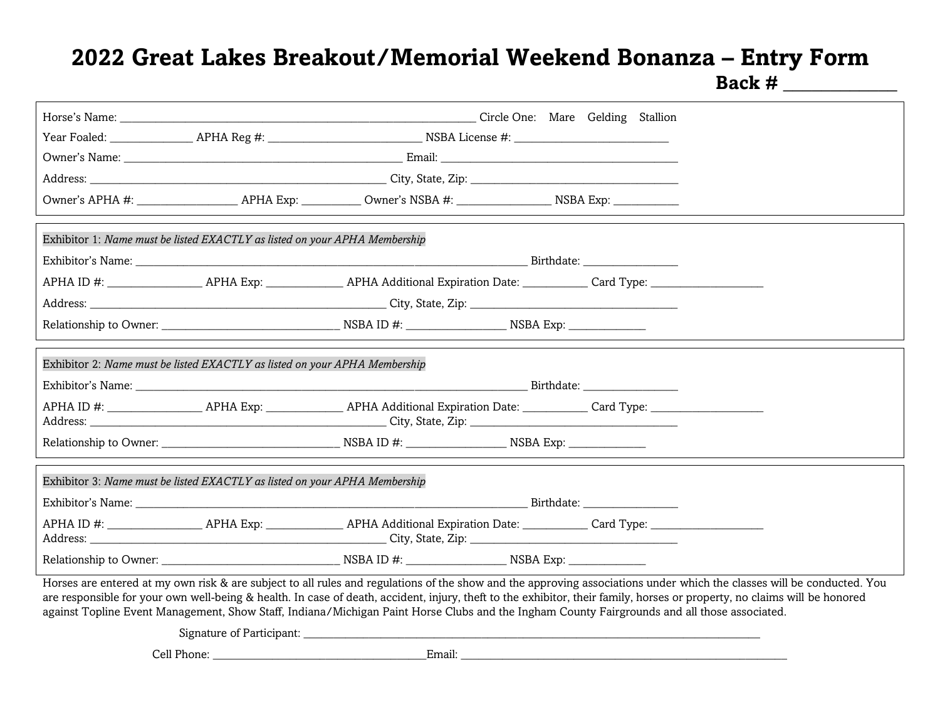## **2022 Great Lakes Breakout/Memorial Weekend Bonanza – Entry Form**

**Back # \_\_\_\_\_\_\_\_\_\_\_\_**

|                                                                                                                                                                                                                                                                                                                                                                                                                                                                                                     |                                                                            | Horse's Name: Circle One: Mare Gelding Stallion |  |  |  |  |  |
|-----------------------------------------------------------------------------------------------------------------------------------------------------------------------------------------------------------------------------------------------------------------------------------------------------------------------------------------------------------------------------------------------------------------------------------------------------------------------------------------------------|----------------------------------------------------------------------------|-------------------------------------------------|--|--|--|--|--|
|                                                                                                                                                                                                                                                                                                                                                                                                                                                                                                     |                                                                            |                                                 |  |  |  |  |  |
|                                                                                                                                                                                                                                                                                                                                                                                                                                                                                                     |                                                                            |                                                 |  |  |  |  |  |
|                                                                                                                                                                                                                                                                                                                                                                                                                                                                                                     |                                                                            |                                                 |  |  |  |  |  |
|                                                                                                                                                                                                                                                                                                                                                                                                                                                                                                     |                                                                            |                                                 |  |  |  |  |  |
|                                                                                                                                                                                                                                                                                                                                                                                                                                                                                                     |                                                                            |                                                 |  |  |  |  |  |
|                                                                                                                                                                                                                                                                                                                                                                                                                                                                                                     | Exhibitor 1: Name must be listed EXACTLY as listed on your APHA Membership |                                                 |  |  |  |  |  |
|                                                                                                                                                                                                                                                                                                                                                                                                                                                                                                     |                                                                            |                                                 |  |  |  |  |  |
|                                                                                                                                                                                                                                                                                                                                                                                                                                                                                                     |                                                                            |                                                 |  |  |  |  |  |
|                                                                                                                                                                                                                                                                                                                                                                                                                                                                                                     |                                                                            |                                                 |  |  |  |  |  |
|                                                                                                                                                                                                                                                                                                                                                                                                                                                                                                     |                                                                            |                                                 |  |  |  |  |  |
|                                                                                                                                                                                                                                                                                                                                                                                                                                                                                                     |                                                                            |                                                 |  |  |  |  |  |
|                                                                                                                                                                                                                                                                                                                                                                                                                                                                                                     | Exhibitor 2: Name must be listed EXACTLY as listed on your APHA Membership |                                                 |  |  |  |  |  |
|                                                                                                                                                                                                                                                                                                                                                                                                                                                                                                     |                                                                            |                                                 |  |  |  |  |  |
|                                                                                                                                                                                                                                                                                                                                                                                                                                                                                                     |                                                                            |                                                 |  |  |  |  |  |
|                                                                                                                                                                                                                                                                                                                                                                                                                                                                                                     |                                                                            |                                                 |  |  |  |  |  |
| Exhibitor 3: Name must be listed EXACTLY as listed on your APHA Membership                                                                                                                                                                                                                                                                                                                                                                                                                          |                                                                            |                                                 |  |  |  |  |  |
|                                                                                                                                                                                                                                                                                                                                                                                                                                                                                                     |                                                                            |                                                 |  |  |  |  |  |
|                                                                                                                                                                                                                                                                                                                                                                                                                                                                                                     |                                                                            |                                                 |  |  |  |  |  |
|                                                                                                                                                                                                                                                                                                                                                                                                                                                                                                     |                                                                            |                                                 |  |  |  |  |  |
| Horses are entered at my own risk & are subject to all rules and regulations of the show and the approving associations under which the classes will be conducted. You<br>are responsible for your own well-being & health. In case of death, accident, injury, theft to the exhibitor, their family, horses or property, no claims will be honored<br>against Topline Event Management, Show Staff, Indiana/Michigan Paint Horse Clubs and the Ingham County Fairgrounds and all those associated. |                                                                            |                                                 |  |  |  |  |  |
|                                                                                                                                                                                                                                                                                                                                                                                                                                                                                                     | Signature of Participant:                                                  |                                                 |  |  |  |  |  |
| Cell Phone:                                                                                                                                                                                                                                                                                                                                                                                                                                                                                         |                                                                            | Email:                                          |  |  |  |  |  |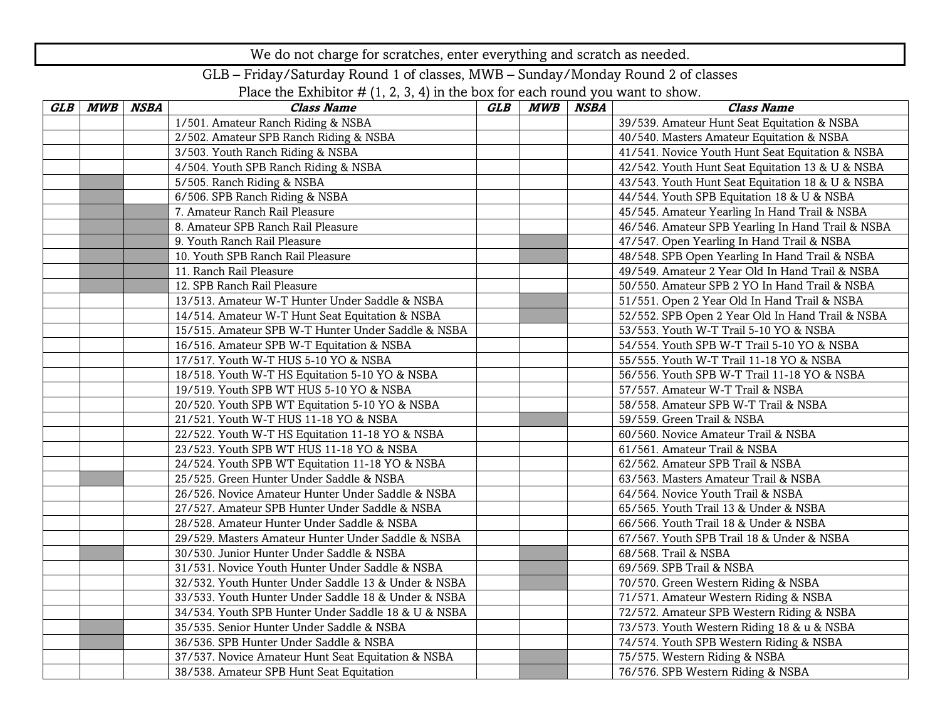We do not charge for scratches, enter everything and scratch as needed.

GLB – Friday/Saturday Round 1 of classes, MWB – Sunday/Monday Round 2 of classes

Place the Exhibitor  $# (1, 2, 3, 4)$  in the box for each round you want to show.

| GLB MWB | NSBA | <b>Class Name</b>                                   | GLB | MWB | <b>NSBA</b> | <b>Class Name</b>                                 |
|---------|------|-----------------------------------------------------|-----|-----|-------------|---------------------------------------------------|
|         |      | 1/501. Amateur Ranch Riding & NSBA                  |     |     |             | 39/539. Amateur Hunt Seat Equitation & NSBA       |
|         |      | 2/502. Amateur SPB Ranch Riding & NSBA              |     |     |             | 40/540. Masters Amateur Equitation & NSBA         |
|         |      | 3/503. Youth Ranch Riding & NSBA                    |     |     |             | 41/541. Novice Youth Hunt Seat Equitation & NSBA  |
|         |      | 4/504. Youth SPB Ranch Riding & NSBA                |     |     |             | 42/542. Youth Hunt Seat Equitation 13 & U & NSBA  |
|         |      | 5/505. Ranch Riding & NSBA                          |     |     |             | 43/543. Youth Hunt Seat Equitation 18 & U & NSBA  |
|         |      | 6/506. SPB Ranch Riding & NSBA                      |     |     |             | 44/544. Youth SPB Equitation 18 & U & NSBA        |
|         |      | 7. Amateur Ranch Rail Pleasure                      |     |     |             | 45/545. Amateur Yearling In Hand Trail & NSBA     |
|         |      | 8. Amateur SPB Ranch Rail Pleasure                  |     |     |             | 46/546. Amateur SPB Yearling In Hand Trail & NSBA |
|         |      | 9. Youth Ranch Rail Pleasure                        |     |     |             | 47/547. Open Yearling In Hand Trail & NSBA        |
|         |      | 10. Youth SPB Ranch Rail Pleasure                   |     |     |             | 48/548. SPB Open Yearling In Hand Trail & NSBA    |
|         |      | 11. Ranch Rail Pleasure                             |     |     |             | 49/549. Amateur 2 Year Old In Hand Trail & NSBA   |
|         |      | 12. SPB Ranch Rail Pleasure                         |     |     |             | 50/550. Amateur SPB 2 YO In Hand Trail & NSBA     |
|         |      | 13/513. Amateur W-T Hunter Under Saddle & NSBA      |     |     |             | 51/551. Open 2 Year Old In Hand Trail & NSBA      |
|         |      | 14/514. Amateur W-T Hunt Seat Equitation & NSBA     |     |     |             | 52/552. SPB Open 2 Year Old In Hand Trail & NSBA  |
|         |      | 15/515. Amateur SPB W-T Hunter Under Saddle & NSBA  |     |     |             | 53/553. Youth W-T Trail 5-10 YO & NSBA            |
|         |      | 16/516. Amateur SPB W-T Equitation & NSBA           |     |     |             | 54/554. Youth SPB W-T Trail 5-10 YO & NSBA        |
|         |      | 17/517. Youth W-T HUS 5-10 YO & NSBA                |     |     |             | 55/555. Youth W-T Trail 11-18 YO & NSBA           |
|         |      | 18/518. Youth W-T HS Equitation 5-10 YO & NSBA      |     |     |             | 56/556. Youth SPB W-T Trail 11-18 YO & NSBA       |
|         |      | 19/519. Youth SPB WT HUS 5-10 YO & NSBA             |     |     |             | 57/557. Amateur W-T Trail & NSBA                  |
|         |      | 20/520. Youth SPB WT Equitation 5-10 YO & NSBA      |     |     |             | 58/558. Amateur SPB W-T Trail & NSBA              |
|         |      | 21/521. Youth W-T HUS 11-18 YO & NSBA               |     |     |             | 59/559. Green Trail & NSBA                        |
|         |      | 22/522. Youth W-T HS Equitation 11-18 YO & NSBA     |     |     |             | 60/560. Novice Amateur Trail & NSBA               |
|         |      | 23/523. Youth SPB WT HUS 11-18 YO & NSBA            |     |     |             | 61/561. Amateur Trail & NSBA                      |
|         |      | 24/524. Youth SPB WT Equitation 11-18 YO & NSBA     |     |     |             | 62/562. Amateur SPB Trail & NSBA                  |
|         |      | 25/525. Green Hunter Under Saddle & NSBA            |     |     |             | 63/563. Masters Amateur Trail & NSBA              |
|         |      | 26/526. Novice Amateur Hunter Under Saddle & NSBA   |     |     |             | 64/564. Novice Youth Trail & NSBA                 |
|         |      | 27/527. Amateur SPB Hunter Under Saddle & NSBA      |     |     |             | 65/565. Youth Trail 13 & Under & NSBA             |
|         |      | 28/528. Amateur Hunter Under Saddle & NSBA          |     |     |             | 66/566. Youth Trail 18 & Under & NSBA             |
|         |      | 29/529. Masters Amateur Hunter Under Saddle & NSBA  |     |     |             | 67/567. Youth SPB Trail 18 & Under & NSBA         |
|         |      | 30/530. Junior Hunter Under Saddle & NSBA           |     |     |             | 68/568. Trail & NSBA                              |
|         |      | 31/531. Novice Youth Hunter Under Saddle & NSBA     |     |     |             | 69/569. SPB Trail & NSBA                          |
|         |      | 32/532. Youth Hunter Under Saddle 13 & Under & NSBA |     |     |             | 70/570. Green Western Riding & NSBA               |
|         |      | 33/533. Youth Hunter Under Saddle 18 & Under & NSBA |     |     |             | 71/571. Amateur Western Riding & NSBA             |
|         |      | 34/534. Youth SPB Hunter Under Saddle 18 & U & NSBA |     |     |             | 72/572. Amateur SPB Western Riding & NSBA         |
|         |      | 35/535. Senior Hunter Under Saddle & NSBA           |     |     |             | 73/573. Youth Western Riding 18 & u & NSBA        |
|         |      | 36/536. SPB Hunter Under Saddle & NSBA              |     |     |             | 74/574. Youth SPB Western Riding & NSBA           |
|         |      | 37/537. Novice Amateur Hunt Seat Equitation & NSBA  |     |     |             | 75/575. Western Riding & NSBA                     |
|         |      | 38/538. Amateur SPB Hunt Seat Equitation            |     |     |             | 76/576. SPB Western Riding & NSBA                 |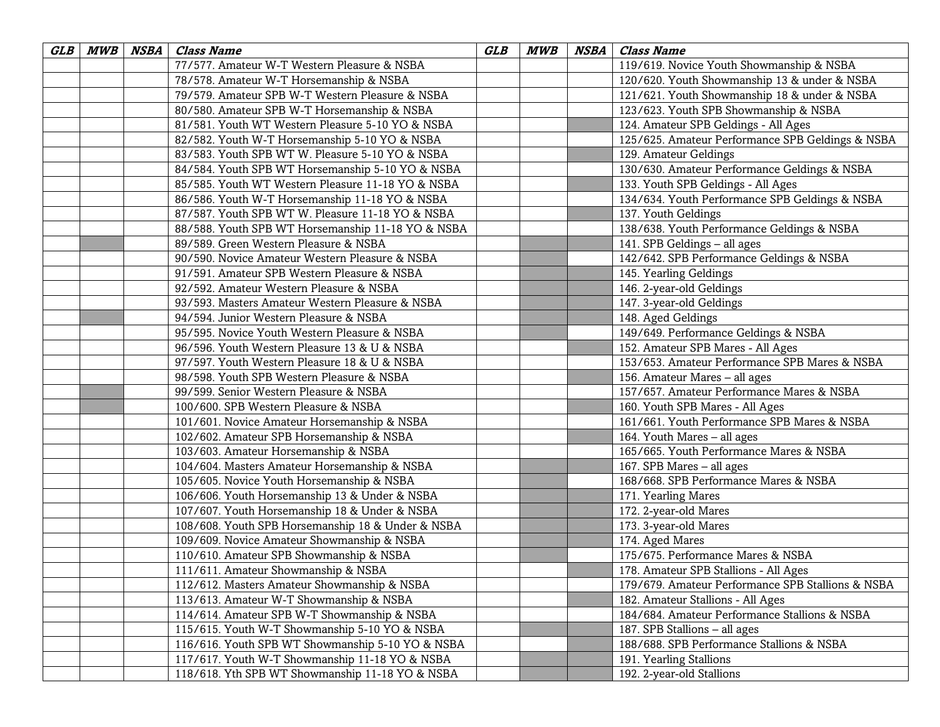| GLB | MWB NSBA | <b>Class Name</b>                                 | GLB | <b>MWB</b> | NSBA | <b>Class Name</b>                                 |
|-----|----------|---------------------------------------------------|-----|------------|------|---------------------------------------------------|
|     |          | 77/577. Amateur W-T Western Pleasure & NSBA       |     |            |      | 119/619. Novice Youth Showmanship & NSBA          |
|     |          | 78/578. Amateur W-T Horsemanship & NSBA           |     |            |      | 120/620. Youth Showmanship 13 & under & NSBA      |
|     |          | 79/579. Amateur SPB W-T Western Pleasure & NSBA   |     |            |      | 121/621. Youth Showmanship 18 & under & NSBA      |
|     |          | 80/580. Amateur SPB W-T Horsemanship & NSBA       |     |            |      | 123/623. Youth SPB Showmanship & NSBA             |
|     |          | 81/581. Youth WT Western Pleasure 5-10 YO & NSBA  |     |            |      | 124. Amateur SPB Geldings - All Ages              |
|     |          | 82/582. Youth W-T Horsemanship 5-10 YO & NSBA     |     |            |      | 125/625. Amateur Performance SPB Geldings & NSBA  |
|     |          | 83/583. Youth SPB WT W. Pleasure 5-10 YO & NSBA   |     |            |      | 129. Amateur Geldings                             |
|     |          | 84/584. Youth SPB WT Horsemanship 5-10 YO & NSBA  |     |            |      | 130/630. Amateur Performance Geldings & NSBA      |
|     |          | 85/585. Youth WT Western Pleasure 11-18 YO & NSBA |     |            |      | 133. Youth SPB Geldings - All Ages                |
|     |          | 86/586. Youth W-T Horsemanship 11-18 YO & NSBA    |     |            |      | 134/634. Youth Performance SPB Geldings & NSBA    |
|     |          | 87/587. Youth SPB WT W. Pleasure 11-18 YO & NSBA  |     |            |      | 137. Youth Geldings                               |
|     |          | 88/588. Youth SPB WT Horsemanship 11-18 YO & NSBA |     |            |      | 138/638. Youth Performance Geldings & NSBA        |
|     |          | 89/589. Green Western Pleasure & NSBA             |     |            |      | 141. SPB Geldings - all ages                      |
|     |          | 90/590. Novice Amateur Western Pleasure & NSBA    |     |            |      | 142/642. SPB Performance Geldings & NSBA          |
|     |          | 91/591. Amateur SPB Western Pleasure & NSBA       |     |            |      | 145. Yearling Geldings                            |
|     |          | 92/592. Amateur Western Pleasure & NSBA           |     |            |      | 146. 2-year-old Geldings                          |
|     |          | 93/593. Masters Amateur Western Pleasure & NSBA   |     |            |      | 147. 3-year-old Geldings                          |
|     |          | 94/594. Junior Western Pleasure & NSBA            |     |            |      | 148. Aged Geldings                                |
|     |          | 95/595. Novice Youth Western Pleasure & NSBA      |     |            |      | 149/649. Performance Geldings & NSBA              |
|     |          | 96/596. Youth Western Pleasure 13 & U & NSBA      |     |            |      | 152. Amateur SPB Mares - All Ages                 |
|     |          | 97/597. Youth Western Pleasure 18 & U & NSBA      |     |            |      | 153/653. Amateur Performance SPB Mares & NSBA     |
|     |          | 98/598. Youth SPB Western Pleasure & NSBA         |     |            |      | 156. Amateur Mares - all ages                     |
|     |          | 99/599. Senior Western Pleasure & NSBA            |     |            |      | 157/657. Amateur Performance Mares & NSBA         |
|     |          | 100/600. SPB Western Pleasure & NSBA              |     |            |      | 160. Youth SPB Mares - All Ages                   |
|     |          | 101/601. Novice Amateur Horsemanship & NSBA       |     |            |      | 161/661. Youth Performance SPB Mares & NSBA       |
|     |          | 102/602. Amateur SPB Horsemanship & NSBA          |     |            |      | 164. Youth Mares - all ages                       |
|     |          | 103/603. Amateur Horsemanship & NSBA              |     |            |      | 165/665. Youth Performance Mares & NSBA           |
|     |          | 104/604. Masters Amateur Horsemanship & NSBA      |     |            |      | 167. SPB Mares - all ages                         |
|     |          | 105/605. Novice Youth Horsemanship & NSBA         |     |            |      | 168/668. SPB Performance Mares & NSBA             |
|     |          | 106/606. Youth Horsemanship 13 & Under & NSBA     |     |            |      | 171. Yearling Mares                               |
|     |          | 107/607. Youth Horsemanship 18 & Under & NSBA     |     |            |      | 172. 2-year-old Mares                             |
|     |          | 108/608. Youth SPB Horsemanship 18 & Under & NSBA |     |            |      | 173. 3-year-old Mares                             |
|     |          | 109/609. Novice Amateur Showmanship & NSBA        |     |            |      | 174. Aged Mares                                   |
|     |          | 110/610. Amateur SPB Showmanship & NSBA           |     |            |      | 175/675. Performance Mares & NSBA                 |
|     |          | 111/611. Amateur Showmanship & NSBA               |     |            |      | 178. Amateur SPB Stallions - All Ages             |
|     |          | 112/612. Masters Amateur Showmanship & NSBA       |     |            |      | 179/679. Amateur Performance SPB Stallions & NSBA |
|     |          | 113/613. Amateur W-T Showmanship & NSBA           |     |            |      | 182. Amateur Stallions - All Ages                 |
|     |          | 114/614. Amateur SPB W-T Showmanship & NSBA       |     |            |      | 184/684. Amateur Performance Stallions & NSBA     |
|     |          | 115/615. Youth W-T Showmanship 5-10 YO & NSBA     |     |            |      | 187. SPB Stallions - all ages                     |
|     |          | 116/616. Youth SPB WT Showmanship 5-10 YO & NSBA  |     |            |      | 188/688. SPB Performance Stallions & NSBA         |
|     |          | 117/617. Youth W-T Showmanship 11-18 YO & NSBA    |     |            |      | 191. Yearling Stallions                           |
|     |          | 118/618. Yth SPB WT Showmanship 11-18 YO & NSBA   |     |            |      | 192. 2-year-old Stallions                         |